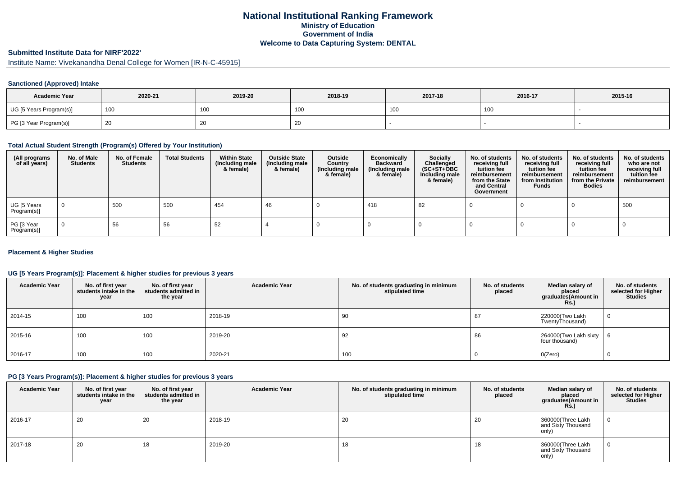# **National Institutional Ranking FrameworkMinistry of Education Government of IndiaWelcome to Data Capturing System: DENTAL**

# **Submitted Institute Data for NIRF'2022'**

Institute Name: Vivekanandha Denal College for Women [IR-N-C-45915]

# **Sanctioned (Approved) Intake**

| <b>Academic Year</b>    | 2020-21 | 2019-20         | 2018-19 | 2017-18         | 2016-17 | 2015-16 |
|-------------------------|---------|-----------------|---------|-----------------|---------|---------|
| UG [5 Years Program(s)] | 100     | 10 <sub>C</sub> | าบน     | 10 <sub>C</sub> | 100     |         |
| PG [3 Year Program(s)]  |         | 20              | ∠∪      |                 |         |         |

### **Total Actual Student Strength (Program(s) Offered by Your Institution)**

| (All programs<br>of all years) | No. of Male<br><b>Students</b> | No. of Female<br><b>Students</b> | <b>Total Students</b> | <b>Within State</b><br>(Including male<br>& female) | <b>Outside State</b><br>(Including male<br>& female) | Outside<br>Country<br>(Including male<br>& female) | Economically<br><b>Backward</b><br>(Including male<br>& female) | <b>Socially</b><br>Challenged<br>$(SC+ST+OBC)$<br>Including male<br>& female) | No. of students<br>receiving full<br>tuition fee<br>reimbursement<br>from the State<br>and Central<br>Government | No. of students<br>receiving full<br>tuition fee<br>reimbursement<br>from Institution<br><b>Funds</b> | No. of students<br>receiving full<br>tuition fee<br>reimbursement<br>from the Private<br><b>Bodies</b> | No. of students<br>who are not<br>receiving full<br>tuition fee<br>reimbursement |
|--------------------------------|--------------------------------|----------------------------------|-----------------------|-----------------------------------------------------|------------------------------------------------------|----------------------------------------------------|-----------------------------------------------------------------|-------------------------------------------------------------------------------|------------------------------------------------------------------------------------------------------------------|-------------------------------------------------------------------------------------------------------|--------------------------------------------------------------------------------------------------------|----------------------------------------------------------------------------------|
| UG [5 Years<br>Program(s)]     | $\overline{0}$                 | 500                              | 500                   | 454                                                 | 46                                                   |                                                    | 418                                                             | 82                                                                            |                                                                                                                  |                                                                                                       |                                                                                                        | 500                                                                              |
| PG [3 Year<br>Program(s)]      | $\Omega$                       | 56                               | 56                    | 52                                                  |                                                      |                                                    |                                                                 |                                                                               |                                                                                                                  |                                                                                                       |                                                                                                        |                                                                                  |

# **Placement & Higher Studies**

# **UG [5 Years Program(s)]: Placement & higher studies for previous 3 years**

| <b>Academic Year</b> | No. of first year<br>students intake in the<br>year | No. of first vear<br>students admitted in<br>the year | <b>Academic Year</b> | No. of students graduating in minimum<br>stipulated time | No. of students<br>placed | Median salary of<br>placed<br>graduates(Amount in<br>Rs.) | No. of students<br>selected for Higher<br><b>Studies</b> |
|----------------------|-----------------------------------------------------|-------------------------------------------------------|----------------------|----------------------------------------------------------|---------------------------|-----------------------------------------------------------|----------------------------------------------------------|
| 2014-15              | 100                                                 | 100                                                   | 2018-19              | 90                                                       | 87                        | 220000(Two Lakh<br>TwentyThousand)                        | 0                                                        |
| 2015-16              | 100                                                 | 100                                                   | 2019-20              | 92                                                       | 86                        | 264000(Two Lakh sixty<br>four thousand)                   | -6                                                       |
| 2016-17              | 100                                                 | 100                                                   | 2020-21              | 100                                                      |                           | O(Zero)                                                   | 0                                                        |

# **PG [3 Years Program(s)]: Placement & higher studies for previous 3 years**

| <b>Academic Year</b> | No. of first year<br>students intake in the<br>year | No. of first year<br>students admitted in<br>the year | <b>Academic Year</b> | No. of students graduating in minimum<br>stipulated time | No. of students<br>placed | Median salary of<br>placed<br>graduates(Amount in<br><b>Rs.)</b> | No. of students<br>selected for Higher<br><b>Studies</b> |
|----------------------|-----------------------------------------------------|-------------------------------------------------------|----------------------|----------------------------------------------------------|---------------------------|------------------------------------------------------------------|----------------------------------------------------------|
| 2016-17              | 20                                                  | 20                                                    | 2018-19              | 20                                                       | 20                        | 360000(Three Lakh<br>and Sixty Thousand<br>only)                 |                                                          |
| 2017-18              | 20                                                  | 10                                                    | 2019-20              | 18                                                       | 18                        | 360000 (Three Lakh<br>and Sixty Thousand<br>only)                | 0                                                        |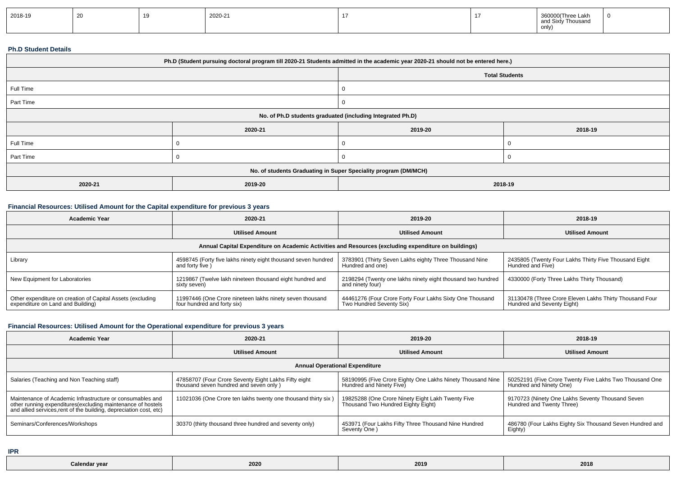| 2018-19 |  |  | 2020-21 |  |  | 360000<br>'Three Lakh<br>y Thousand<br><b>nnd</b><br>only |  |
|---------|--|--|---------|--|--|-----------------------------------------------------------|--|
|---------|--|--|---------|--|--|-----------------------------------------------------------|--|

#### **Ph.D Student Details**

| Ph.D (Student pursuing doctoral program till 2020-21 Students admitted in the academic year 2020-21 should not be entered here.) |         |                       |         |  |
|----------------------------------------------------------------------------------------------------------------------------------|---------|-----------------------|---------|--|
|                                                                                                                                  |         | <b>Total Students</b> |         |  |
| Full Time                                                                                                                        |         |                       |         |  |
| Part Time                                                                                                                        |         | 0                     |         |  |
| No. of Ph.D students graduated (including Integrated Ph.D)                                                                       |         |                       |         |  |
|                                                                                                                                  | 2020-21 | 2019-20               | 2018-19 |  |
| Full Time                                                                                                                        |         | 0                     |         |  |
| Part Time                                                                                                                        |         | v                     |         |  |
| No. of students Graduating in Super Speciality program (DM/MCH)                                                                  |         |                       |         |  |
| 2020-21                                                                                                                          | 2019-20 | 2018-19               |         |  |

# **Financial Resources: Utilised Amount for the Capital expenditure for previous 3 years**

| <b>Academic Year</b>                                                                                 | 2020-21                                                                                 | 2019-20                                                                              | 2018-19                                                                               |  |  |  |
|------------------------------------------------------------------------------------------------------|-----------------------------------------------------------------------------------------|--------------------------------------------------------------------------------------|---------------------------------------------------------------------------------------|--|--|--|
|                                                                                                      | <b>Utilised Amount</b>                                                                  | <b>Utilised Amount</b>                                                               | <b>Utilised Amount</b>                                                                |  |  |  |
| Annual Capital Expenditure on Academic Activities and Resources (excluding expenditure on buildings) |                                                                                         |                                                                                      |                                                                                       |  |  |  |
| Library                                                                                              | 4598745 (Forty five lakhs ninety eight thousand seven hundred<br>and forty five )       | 3783901 (Thirty Seven Lakhs eighty Three Thousand Nine<br>Hundred and one)           | 2435805 (Twenty Four Lakhs Thirty Five Thousand Eight<br>Hundred and Five)            |  |  |  |
| New Equipment for Laboratories                                                                       | 1219867 (Twelve lakh nineteen thousand eight hundred and<br>sixty seven)                | 2198294 (Twenty one lakhs ninety eight thousand two hundred<br>and ninety four)      | 4330000 (Forty Three Lakhs Thirty Thousand)                                           |  |  |  |
| Other expenditure on creation of Capital Assets (excluding<br>expenditure on Land and Building)      | 11997446 (One Crore nineteen lakhs ninety seven thousand<br>four hundred and forty six) | 44461276 (Four Crore Forty Four Lakhs Sixty One Thousand<br>Two Hundred Seventy Six) | 31130478 (Three Crore Eleven Lakhs Thirty Thousand Four<br>Hundred and Seventy Eight) |  |  |  |

# **Financial Resources: Utilised Amount for the Operational expenditure for previous 3 years**

| <b>Academic Year</b>                                                                                                                                                                           | 2020-21                                                                                        | 2019-20                                                                                 | 2018-19                                                                            |  |  |  |
|------------------------------------------------------------------------------------------------------------------------------------------------------------------------------------------------|------------------------------------------------------------------------------------------------|-----------------------------------------------------------------------------------------|------------------------------------------------------------------------------------|--|--|--|
|                                                                                                                                                                                                | <b>Utilised Amount</b>                                                                         | <b>Utilised Amount</b>                                                                  | <b>Utilised Amount</b>                                                             |  |  |  |
| <b>Annual Operational Expenditure</b>                                                                                                                                                          |                                                                                                |                                                                                         |                                                                                    |  |  |  |
| Salaries (Teaching and Non Teaching staff)                                                                                                                                                     | 47858707 (Four Crore Seventy Eight Lakhs Fifty eight<br>thousand seven hundred and seven only) | 58190995 (Five Crore Eighty One Lakhs Ninety Thousand Nine<br>Hundred and Ninety Five)  | 50252191 (Five Crore Twenty Five Lakhs Two Thousand One<br>Hundred and Ninety One) |  |  |  |
| Maintenance of Academic Infrastructure or consumables and<br>other running expenditures(excluding maintenance of hostels<br>and allied services, rent of the building, depreciation cost, etc) | 11021036 (One Crore ten lakhs twenty one thousand thirty six)                                  | 19825288 (One Crore Ninety Eight Lakh Twenty Five<br>Thousand Two Hundred Eighty Eight) | 9170723 (Ninety One Lakhs Seventy Thousand Seven<br>Hundred and Twenty Three)      |  |  |  |
| Seminars/Conferences/Workshops                                                                                                                                                                 | 30370 (thirty thousand three hundred and seventy only)                                         | 453971 (Four Lakhs Fifty Three Thousand Nine Hundred<br>Seventy One)                    | 486780 (Four Lakhs Eighty Six Thousand Seven Hundred and<br>Eighty)                |  |  |  |

**IPR**

| $\sim$ $\sim$ $\sim$ | $\sim$ $\sim$ $\sim$ $\sim$<br>2020<br>.<br>$\sim$ $\sim$ $\sim$ | 2019 | 2018 |
|----------------------|------------------------------------------------------------------|------|------|
|----------------------|------------------------------------------------------------------|------|------|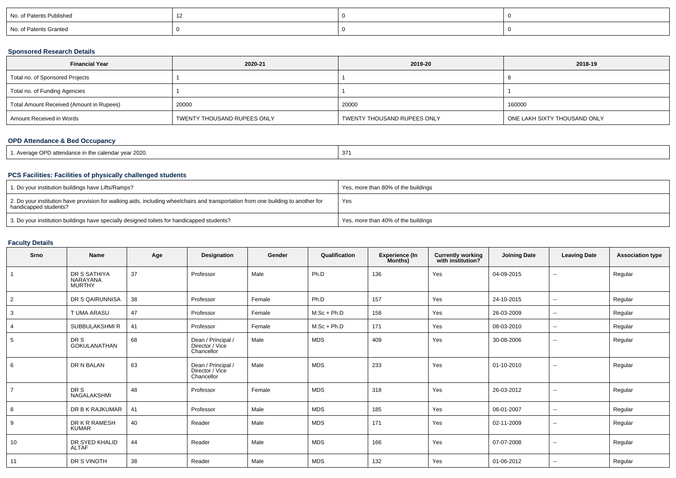| No. of Patents Published |  |  |
|--------------------------|--|--|
| No. of Patents Granted   |  |  |

# **Sponsored Research Details**

| <b>Financial Year</b>                    | 2020-21                     | 2019-20                     | 2018-19                      |
|------------------------------------------|-----------------------------|-----------------------------|------------------------------|
| Total no. of Sponsored Projects          |                             |                             |                              |
| Total no. of Funding Agencies            |                             |                             |                              |
| Total Amount Received (Amount in Rupees) | 20000                       | 20000                       | 160000                       |
| Amount Received in Words                 | TWENTY THOUSAND RUPEES ONLY | TWENTY THOUSAND RUPEES ONLY | ONE LAKH SIXTY THOUSAND ONLY |

# **OPD Attendance & Bed Occupancy**

| 37<br>in the calendar year 2020.<br>PD attendance<br>. Average OPP<br>the contract of the contract of the contract of the contract of the contract of |  |
|-------------------------------------------------------------------------------------------------------------------------------------------------------|--|
|-------------------------------------------------------------------------------------------------------------------------------------------------------|--|

# **PCS Facilities: Facilities of physically challenged students**

| 1. Do your institution buildings have Lifts/Ramps?                                                                                                         | Yes, more than 80% of the buildings |
|------------------------------------------------------------------------------------------------------------------------------------------------------------|-------------------------------------|
| 2. Do your institution have provision for walking aids, including wheelchairs and transportation from one building to another for<br>handicapped students? | Yes                                 |
| 3. Do your institution buildings have specially designed toilets for handicapped students?                                                                 | Yes, more than 40% of the buildings |

# **Faculty Details**

| Srno           | Name                                             | Age | <b>Designation</b>                                  | Gender | Qualification | Experience (In<br>Months) | <b>Currently working</b><br>with institution? | <b>Joining Date</b> | <b>Leaving Date</b>      | <b>Association type</b> |
|----------------|--------------------------------------------------|-----|-----------------------------------------------------|--------|---------------|---------------------------|-----------------------------------------------|---------------------|--------------------------|-------------------------|
|                | DR S SATHIYA<br><b>NARAYANA</b><br><b>MURTHY</b> | 37  | Professor                                           | Male   | Ph.D          | 136                       | Yes                                           | 04-09-2015          | $\overline{\phantom{a}}$ | Regular                 |
| 2              | DR S QAIRUNNISA                                  | 38  | Professor                                           | Female | Ph.D          | 157                       | Yes                                           | 24-10-2015          | $\sim$                   | Regular                 |
| 3              | T UMA ARASU                                      | 47  | Professor                                           | Female | $M.Sc + Ph.D$ | 158                       | Yes                                           | 26-03-2009          | $\sim$                   | Regular                 |
| 4              | SUBBULAKSHMI R                                   | 41  | Professor                                           | Female | $M.Sc + Ph.D$ | 171                       | Yes                                           | 08-03-2010          | $\sim$                   | Regular                 |
| 5              | DR S<br><b>GOKULANATHAN</b>                      | 68  | Dean / Principal /<br>Director / Vice<br>Chancellor | Male   | <b>MDS</b>    | 409                       | Yes                                           | 30-08-2006          | $\sim$                   | Regular                 |
| 6              | DR N BALAN                                       | 63  | Dean / Principal /<br>Director / Vice<br>Chancellor | Male   | <b>MDS</b>    | 233                       | Yes                                           | 01-10-2010          | $\sim$                   | Regular                 |
| $\overline{7}$ | DR S<br>NAGALAKSHMI                              | 48  | Professor                                           | Female | <b>MDS</b>    | 318                       | Yes                                           | 26-03-2012          | $\sim$                   | Regular                 |
| 8              | DR B K RAJKUMAR                                  | 41  | Professor                                           | Male   | <b>MDS</b>    | 185                       | Yes                                           | 06-01-2007          | $\sim$                   | Regular                 |
| 9              | DR K R RAMESH<br><b>KUMAR</b>                    | 40  | Reader                                              | Male   | <b>MDS</b>    | 171                       | Yes                                           | 02-11-2009          | $\sim$                   | Regular                 |
| 10             | DR SYED KHALID<br><b>ALTAF</b>                   | 44  | Reader                                              | Male   | <b>MDS</b>    | 166                       | Yes                                           | 07-07-2008          | $\sim$                   | Regular                 |
| 11             | DR S VINOTH                                      | 38  | Reader                                              | Male   | <b>MDS</b>    | 132                       | Yes                                           | 01-06-2012          | $\sim$                   | Regular                 |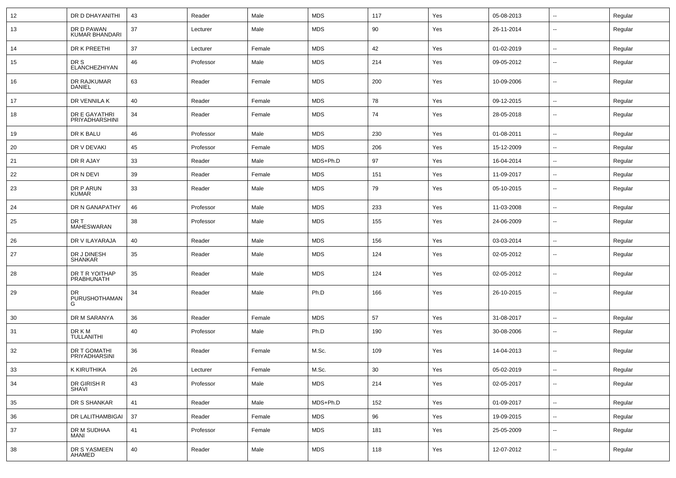| 12 | DR D DHAYANITHI                     | 43     | Reader    | Male   | <b>MDS</b> | 117    | Yes | 05-08-2013 | $\sim$                   | Regular |
|----|-------------------------------------|--------|-----------|--------|------------|--------|-----|------------|--------------------------|---------|
| 13 | DR D PAWAN<br><b>KUMAR BHANDARI</b> | 37     | Lecturer  | Male   | <b>MDS</b> | 90     | Yes | 26-11-2014 | --                       | Regular |
| 14 | DR K PREETHI                        | 37     | Lecturer  | Female | <b>MDS</b> | 42     | Yes | 01-02-2019 | $\overline{\phantom{a}}$ | Regular |
| 15 | DR S<br>ELANCHEZHIYAN               | 46     | Professor | Male   | <b>MDS</b> | 214    | Yes | 09-05-2012 | $\overline{\phantom{a}}$ | Regular |
| 16 | DR RAJKUMAR<br><b>DANIEL</b>        | 63     | Reader    | Female | <b>MDS</b> | 200    | Yes | 10-09-2006 | $\overline{\phantom{a}}$ | Regular |
| 17 | DR VENNILA K                        | 40     | Reader    | Female | <b>MDS</b> | 78     | Yes | 09-12-2015 | $\overline{\phantom{a}}$ | Regular |
| 18 | DR E GAYATHRI<br>PRIYADHARSHINI     | 34     | Reader    | Female | MDS        | 74     | Yes | 28-05-2018 | --                       | Regular |
| 19 | DR K BALU                           | 46     | Professor | Male   | <b>MDS</b> | 230    | Yes | 01-08-2011 | $\overline{\phantom{a}}$ | Regular |
| 20 | DR V DEVAKI                         | 45     | Professor | Female | <b>MDS</b> | 206    | Yes | 15-12-2009 | $\overline{\phantom{a}}$ | Regular |
| 21 | DR R AJAY                           | 33     | Reader    | Male   | MDS+Ph.D   | 97     | Yes | 16-04-2014 | ⊷.                       | Regular |
| 22 | DR N DEVI                           | 39     | Reader    | Female | MDS        | 151    | Yes | 11-09-2017 | ⊷.                       | Regular |
| 23 | DR P ARUN<br><b>KUMAR</b>           | 33     | Reader    | Male   | <b>MDS</b> | 79     | Yes | 05-10-2015 | −−                       | Regular |
| 24 | DR N GANAPATHY                      | 46     | Professor | Male   | <b>MDS</b> | 233    | Yes | 11-03-2008 | $\overline{\phantom{a}}$ | Regular |
| 25 | DR T<br>MAHESWARAN                  | 38     | Professor | Male   | <b>MDS</b> | 155    | Yes | 24-06-2009 | --                       | Regular |
| 26 | DR V ILAYARAJA                      | 40     | Reader    | Male   | <b>MDS</b> | 156    | Yes | 03-03-2014 | ⊷.                       | Regular |
| 27 | DR J DINESH<br>SHANKAR              | 35     | Reader    | Male   | MDS        | 124    | Yes | 02-05-2012 | $\overline{\phantom{a}}$ | Regular |
| 28 | DR T R YOITHAP<br>PRABHUNATH        | 35     | Reader    | Male   | MDS        | 124    | Yes | 02-05-2012 | $\overline{\phantom{a}}$ | Regular |
| 29 | DR.<br>PURUSHOTHAMAN<br>G           | 34     | Reader    | Male   | Ph.D       | 166    | Yes | 26-10-2015 | $\overline{\phantom{a}}$ | Regular |
| 30 | DR M SARANYA                        | 36     | Reader    | Female | <b>MDS</b> | 57     | Yes | 31-08-2017 | ⊷.                       | Regular |
| 31 | DR K M<br>TULLANITHI                | 40     | Professor | Male   | Ph.D       | 190    | Yes | 30-08-2006 | --                       | Regular |
| 32 | DR T GOMATHI<br>PRIYADHARSINI       | 36     | Reader    | Female | M.Sc.      | 109    | Yes | 14-04-2013 | −−                       | Regular |
| 33 | K KIRUTHIKA                         | 26     | Lecturer  | Female | M.Sc.      | $30\,$ | Yes | 05-02-2019 | $\overline{\phantom{a}}$ | Regular |
| 34 | DR GIRISH R<br><b>SHAVI</b>         | 43     | Professor | Male   | <b>MDS</b> | 214    | Yes | 02-05-2017 | Щ,                       | Regular |
| 35 | DR S SHANKAR                        | 41     | Reader    | Male   | MDS+Ph.D   | 152    | Yes | 01-09-2017 | $\overline{\phantom{a}}$ | Regular |
| 36 | DR LALITHAMBIGAI                    | $37\,$ | Reader    | Female | <b>MDS</b> | 96     | Yes | 19-09-2015 | щ.                       | Regular |
| 37 | DR M SUDHAA<br>MANI                 | 41     | Professor | Female | <b>MDS</b> | 181    | Yes | 25-05-2009 | н,                       | Regular |
| 38 | DR S YASMEEN<br>AHAMED              | 40     | Reader    | Male   | <b>MDS</b> | 118    | Yes | 12-07-2012 | н,                       | Regular |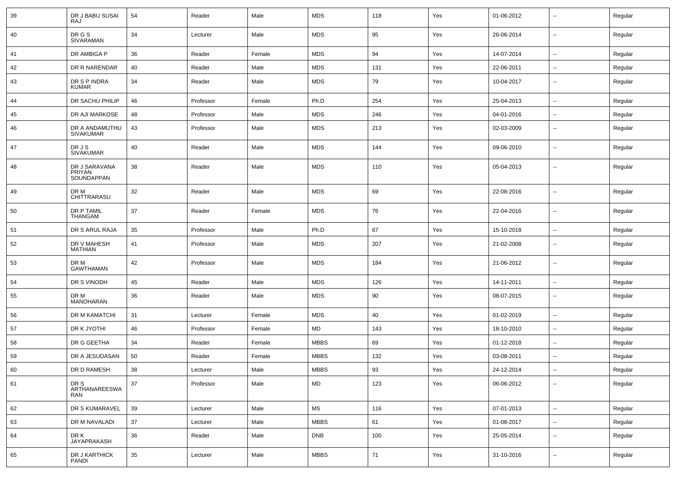| 39 | DR J BABU SUSAI<br><b>RAJ</b>         | 54 | Reader    | Male   | <b>MDS</b>           | 118 | Yes | 01-06-2012 | $\overline{\phantom{a}}$ | Regular |
|----|---------------------------------------|----|-----------|--------|----------------------|-----|-----|------------|--------------------------|---------|
| 40 | DR G S<br>SIVARAMAN                   | 34 | Lecturer  | Male   | <b>MDS</b>           | 95  | Yes | 26-06-2014 | $\sim$                   | Regular |
| 41 | DR AMBIGA P                           | 36 | Reader    | Female | <b>MDS</b>           | 94  | Yes | 14-07-2014 | $\sim$                   | Regular |
| 42 | DR R NARENDAR                         | 40 | Reader    | Male   | <b>MDS</b>           | 131 | Yes | 22-06-2011 | $\sim$                   | Regular |
| 43 | DR S P INDRA<br><b>KUMAR</b>          | 34 | Reader    | Male   | <b>MDS</b>           | 79  | Yes | 10-04-2017 | $\overline{\phantom{a}}$ | Regular |
| 44 | DR SACHU PHILIP                       | 46 | Professor | Female | Ph.D                 | 254 | Yes | 25-04-2013 | $\overline{\phantom{a}}$ | Regular |
| 45 | DR AJI MARKOSE                        | 48 | Professor | Male   | <b>MDS</b>           | 246 | Yes | 04-01-2016 | $\overline{\phantom{a}}$ | Regular |
| 46 | DR A ANDAMUTHU<br><b>SIVAKUMAR</b>    | 43 | Professor | Male   | <b>MDS</b>           | 213 | Yes | 02-03-2009 | $\overline{\phantom{a}}$ | Regular |
| 47 | DR J S<br><b>SIVAKUMAR</b>            | 40 | Reader    | Male   | <b>MDS</b>           | 144 | Yes | 09-06-2010 | $\overline{\phantom{a}}$ | Regular |
| 48 | DR J SARAVANA<br>PRIYAN<br>SOUNDAPPAN | 38 | Reader    | Male   | <b>MDS</b>           | 110 | Yes | 05-04-2013 | $\overline{\phantom{a}}$ | Regular |
| 49 | DR M<br>CHITTRARASU                   | 32 | Reader    | Male   | <b>MDS</b>           | 69  | Yes | 22-08-2016 | $\overline{\phantom{a}}$ | Regular |
| 50 | DR P TAMIL<br>THANGAM                 | 37 | Reader    | Female | <b>MDS</b>           | 76  | Yes | 22-04-2016 | $\overline{\phantom{a}}$ | Regular |
| 51 | DR S ARUL RAJA                        | 35 | Professor | Male   | Ph.D                 | 67  | Yes | 15-10-2018 | $\overline{\phantom{a}}$ | Regular |
| 52 | DR V MAHESH<br>MATHIAN                | 41 | Professor | Male   | <b>MDS</b>           | 207 | Yes | 21-02-2008 | $\overline{\phantom{a}}$ | Regular |
| 53 | DR M<br><b>GAWTHAMAN</b>              | 42 | Professor | Male   | <b>MDS</b>           | 184 | Yes | 21-06-2012 | $\overline{\phantom{a}}$ | Regular |
| 54 | DR S VINODH                           | 45 | Reader    | Male   | <b>MDS</b>           | 126 | Yes | 14-11-2011 | $\overline{\phantom{a}}$ | Regular |
| 55 | DR M<br>MANOHARAN                     | 36 | Reader    | Male   | <b>MDS</b>           | 90  | Yes | 08-07-2015 | $\overline{\phantom{a}}$ | Regular |
| 56 | DR M KAMATCHI                         | 31 | Lecturer  | Female | <b>MDS</b>           | 40  | Yes | 01-02-2019 | $\overline{\phantom{a}}$ | Regular |
| 57 | DR K JYOTHI                           | 46 | Professor | Female | MD                   | 143 | Yes | 18-10-2010 | $\overline{\phantom{a}}$ | Regular |
| 58 | DR G GEETHA                           | 34 | Reader    | Female | <b>MBBS</b>          | 69  | Yes | 01-12-2018 | $\overline{\phantom{a}}$ | Regular |
| 59 | DR A JESUDASAN                        | 50 | Reader    | Female | <b>MBBS</b>          | 132 | Yes | 03-08-2011 | $\overline{\phantom{a}}$ | Regular |
| 60 | DR D RAMESH                           | 38 | Lecturer  | Male   | MBBS                 | 93  | Yes | 24-12-2014 | $\overline{\phantom{a}}$ | Regular |
| 61 | DR S<br>ARTHANAREESWA<br>RAN          | 37 | Professor | Male   | MD                   | 123 | Yes | 06-06-2012 | $\overline{\phantom{a}}$ | Regular |
| 62 | DR S KUMARAVEL                        | 39 | Lecturer  | Male   | $\mathsf{MS}\xspace$ | 116 | Yes | 07-01-2013 | $\overline{\phantom{a}}$ | Regular |
| 63 | DR M NAVALADI                         | 37 | Lecturer  | Male   | <b>MBBS</b>          | 61  | Yes | 01-08-2017 | $\overline{\phantom{a}}$ | Regular |
| 64 | DR K<br>JAYAPRAKASH                   | 36 | Reader    | Male   | <b>DNB</b>           | 100 | Yes | 25-05-2014 | $\overline{\phantom{a}}$ | Regular |
| 65 | DR J KARTHICK<br>PANDI                | 35 | Lecturer  | Male   | <b>MBBS</b>          | 71  | Yes | 31-10-2016 | $\overline{\phantom{a}}$ | Regular |